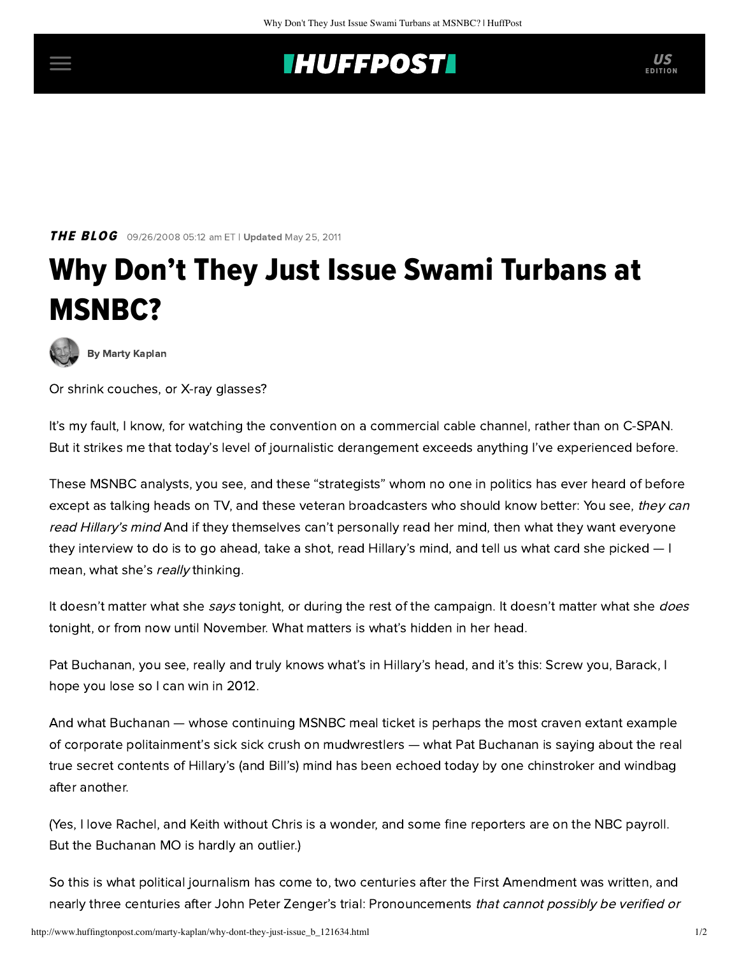## **THUFFPOSTI** US

**THE BLOG** 09/26/2008 05:12 am ET | Updated May 25, 2011

## Why Don't They Just Issue Swami Turbans at MSNBC?



[By Marty Kaplan](http://www.huffingtonpost.com/author/marty-kaplan)

Or shrink couches, or X-ray glasses?

It's my fault, I know, for watching the convention on a commercial cable channel, rather than on C-SPAN. But it strikes me that today's level of journalistic derangement exceeds anything I've experienced before.

These MSNBC analysts, you see, and these "strategists" whom no one in politics has ever heard of before except as talking heads on TV, and these veteran broadcasters who should know better: You see, they can read Hillary's mind And if they themselves can't personally read her mind, then what they want everyone they interview to do is to go ahead, take a shot, read Hillary's mind, and tell us what card she picked — I mean, what she's really thinking.

It doesn't matter what she says tonight, or during the rest of the campaign. It doesn't matter what she does tonight, or from now until November. What matters is what's hidden in her head.

Pat Buchanan, you see, really and truly knows what's in Hillary's head, and it's this: Screw you, Barack, I hope you lose so I can win in 2012.

And what Buchanan — whose continuing MSNBC meal ticket is perhaps the most craven extant example of corporate politainment's sick sick crush on mudwrestlers — what Pat Buchanan is saying about the real true secret contents of Hillary's (and Bill's) mind has been echoed today by one chinstroker and windbag after another.

(Yes, I love Rachel, and Keith without Chris is a wonder, and some fine reporters are on the NBC payroll. But the Buchanan MO is hardly an outlier.)

So this is what political journalism has come to, two centuries after the First Amendment was written, and nearly three centuries after John Peter Zenger's trial: Pronouncements that cannot possibly be verified or